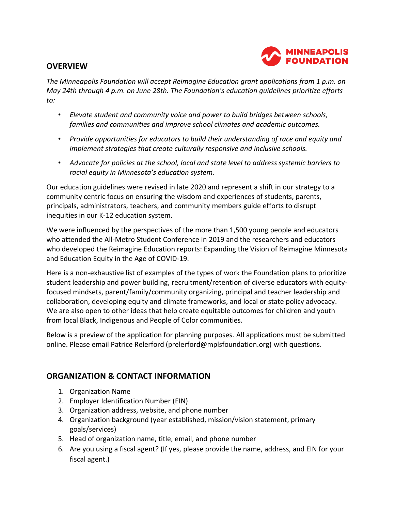

#### **OVERVIEW**

*The Minneapolis Foundation will accept Reimagine Education grant applications from 1 p.m. on May 24th through 4 p.m. on June 28th. The Foundation's education guidelines prioritize efforts to:* 

- *Elevate student and community voice and power to build bridges between schools, families and communities and improve school climates and academic outcomes.*
- *Provide opportunities for educators to build their understanding of race and equity and implement strategies that create culturally responsive and inclusive schools.*
- *Advocate for policies at the school, local and state level to address systemic barriers to racial equity in Minnesota's education system.*

Our education guidelines were revised in late 2020 and represent a shift in our strategy to a community centric focus on ensuring the wisdom and experiences of students, parents, principals, administrators, teachers, and community members guide efforts to disrupt inequities in our K-12 education system.

We were influenced by the perspectives of the more than 1,500 young people and educators who attended the All-Metro Student Conference in 2019 and the researchers and educators who developed the Reimagine Education reports: Expanding the Vision of Reimagine Minnesota and Education Equity in the Age of COVID-19.

Here is a non-exhaustive list of examples of the types of work the Foundation plans to prioritize student leadership and power building, recruitment/retention of diverse educators with equityfocused mindsets, parent/family/community organizing, principal and teacher leadership and collaboration, developing equity and climate frameworks, and local or state policy advocacy. We are also open to other ideas that help create equitable outcomes for children and youth from local Black, Indigenous and People of Color communities.

Below is a preview of the application for planning purposes. All applications must be submitted online. Please email Patrice Relerford (prelerford@mplsfoundation.org) with questions.

## **ORGANIZATION & CONTACT INFORMATION**

- 1. Organization Name
- 2. Employer Identification Number (EIN)
- 3. Organization address, website, and phone number
- 4. Organization background (year established, mission/vision statement, primary goals/services)
- 5. Head of organization name, title, email, and phone number
- 6. Are you using a fiscal agent? (If yes, please provide the name, address, and EIN for your fiscal agent.)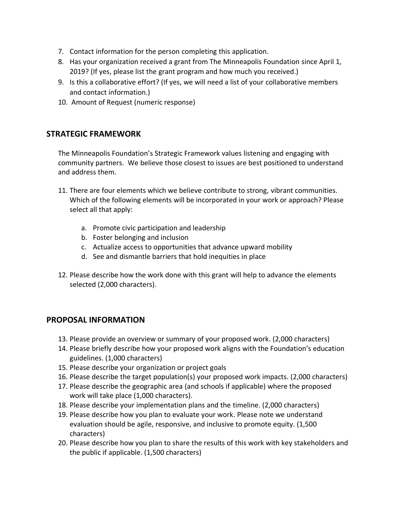- 7. Contact information for the person completing this application.
- 8. Has your organization received a grant from The Minneapolis Foundation since April 1, 2019? (If yes, please list the grant program and how much you received.)
- 9. Is this a collaborative effort? (If yes, we will need a list of your collaborative members and contact information.)
- 10. Amount of Request (numeric response)

## **STRATEGIC FRAMEWORK**

The Minneapolis Foundation's Strategic Framework values listening and engaging with community partners. We believe those closest to issues are best positioned to understand and address them.

- 11. There are four elements which we believe contribute to strong, vibrant communities. Which of the following elements will be incorporated in your work or approach? Please select all that apply:
	- a. Promote civic participation and leadership
	- b. Foster belonging and inclusion
	- c. Actualize access to opportunities that advance upward mobility
	- d. See and dismantle barriers that hold inequities in place
- 12. Please describe how the work done with this grant will help to advance the elements selected (2,000 characters).

#### **PROPOSAL INFORMATION**

- 13. Please provide an overview or summary of your proposed work. (2,000 characters)
- 14. Please briefly describe how your proposed work aligns with the Foundation's education guidelines. (1,000 characters)
- 15. Please describe your organization or project goals
- 16. Please describe the target population(s) your proposed work impacts. (2,000 characters)
- 17. Please describe the geographic area (and schools if applicable) where the proposed work will take place (1,000 characters).
- 18. Please describe your implementation plans and the timeline. (2,000 characters)
- 19. Please describe how you plan to evaluate your work. Please note we understand evaluation should be agile, responsive, and inclusive to promote equity. (1,500 characters)
- 20. Please describe how you plan to share the results of this work with key stakeholders and the public if applicable. (1,500 characters)